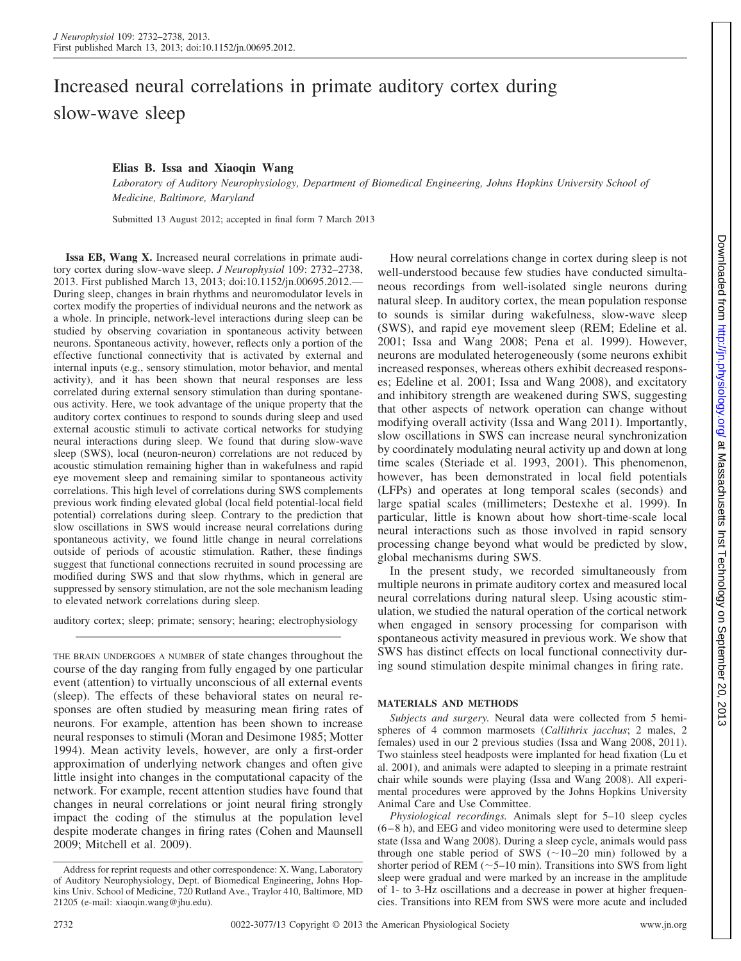# Increased neural correlations in primate auditory cortex during slow-wave sleep

# **Elias B. Issa and Xiaoqin Wang**

*Laboratory of Auditory Neurophysiology, Department of Biomedical Engineering, Johns Hopkins University School of Medicine, Baltimore, Maryland*

Submitted 13 August 2012; accepted in final form 7 March 2013

**Issa EB, Wang X.** Increased neural correlations in primate auditory cortex during slow-wave sleep. *J Neurophysiol* 109: 2732–2738, 2013. First published March 13, 2013; doi:10.1152/jn.00695.2012.— During sleep, changes in brain rhythms and neuromodulator levels in cortex modify the properties of individual neurons and the network as a whole. In principle, network-level interactions during sleep can be studied by observing covariation in spontaneous activity between neurons. Spontaneous activity, however, reflects only a portion of the effective functional connectivity that is activated by external and internal inputs (e.g., sensory stimulation, motor behavior, and mental activity), and it has been shown that neural responses are less correlated during external sensory stimulation than during spontaneous activity. Here, we took advantage of the unique property that the auditory cortex continues to respond to sounds during sleep and used external acoustic stimuli to activate cortical networks for studying neural interactions during sleep. We found that during slow-wave sleep (SWS), local (neuron-neuron) correlations are not reduced by acoustic stimulation remaining higher than in wakefulness and rapid eye movement sleep and remaining similar to spontaneous activity correlations. This high level of correlations during SWS complements previous work finding elevated global (local field potential-local field potential) correlations during sleep. Contrary to the prediction that slow oscillations in SWS would increase neural correlations during spontaneous activity, we found little change in neural correlations outside of periods of acoustic stimulation. Rather, these findings suggest that functional connections recruited in sound processing are modified during SWS and that slow rhythms, which in general are suppressed by sensory stimulation, are not the sole mechanism leading to elevated network correlations during sleep.

auditory cortex; sleep; primate; sensory; hearing; electrophysiology

THE BRAIN UNDERGOES A NUMBER of state changes throughout the course of the day ranging from fully engaged by one particular event (attention) to virtually unconscious of all external events (sleep). The effects of these behavioral states on neural responses are often studied by measuring mean firing rates of neurons. For example, attention has been shown to increase neural responses to stimuli (Moran and Desimone 1985; Motter 1994). Mean activity levels, however, are only a first-order approximation of underlying network changes and often give little insight into changes in the computational capacity of the network. For example, recent attention studies have found that changes in neural correlations or joint neural firing strongly impact the coding of the stimulus at the population level despite moderate changes in firing rates (Cohen and Maunsell 2009; Mitchell et al. 2009).

How neural correlations change in cortex during sleep is not well-understood because few studies have conducted simultaneous recordings from well-isolated single neurons during natural sleep. In auditory cortex, the mean population response to sounds is similar during wakefulness, slow-wave sleep (SWS), and rapid eye movement sleep (REM; Edeline et al. 2001; Issa and Wang 2008; Pena et al. 1999). However, neurons are modulated heterogeneously (some neurons exhibit increased responses, whereas others exhibit decreased responses; Edeline et al. 2001; Issa and Wang 2008), and excitatory and inhibitory strength are weakened during SWS, suggesting that other aspects of network operation can change without modifying overall activity (Issa and Wang 2011). Importantly, slow oscillations in SWS can increase neural synchronization by coordinately modulating neural activity up and down at long time scales (Steriade et al. 1993, 2001). This phenomenon, however, has been demonstrated in local field potentials (LFPs) and operates at long temporal scales (seconds) and large spatial scales (millimeters; Destexhe et al. 1999). In particular, little is known about how short-time-scale local neural interactions such as those involved in rapid sensory processing change beyond what would be predicted by slow, global mechanisms during SWS.

In the present study, we recorded simultaneously from multiple neurons in primate auditory cortex and measured local neural correlations during natural sleep. Using acoustic stimulation, we studied the natural operation of the cortical network when engaged in sensory processing for comparison with spontaneous activity measured in previous work. We show that SWS has distinct effects on local functional connectivity during sound stimulation despite minimal changes in firing rate.

# **MATERIALS AND METHODS**

*Subjects and surgery.* Neural data were collected from 5 hemispheres of 4 common marmosets (*Callithrix jacchus*; 2 males, 2 females) used in our 2 previous studies (Issa and Wang 2008, 2011). Two stainless steel headposts were implanted for head fixation (Lu et al. 2001), and animals were adapted to sleeping in a primate restraint chair while sounds were playing (Issa and Wang 2008). All experimental procedures were approved by the Johns Hopkins University Animal Care and Use Committee.

*Physiological recordings.* Animals slept for 5–10 sleep cycles  $(6-8 h)$ , and EEG and video monitoring were used to determine sleep state (Issa and Wang 2008). During a sleep cycle, animals would pass through one stable period of SWS  $(\sim 10 - 20$  min) followed by a shorter period of REM ( $\sim$  5–10 min). Transitions into SWS from light sleep were gradual and were marked by an increase in the amplitude of 1- to 3-Hz oscillations and a decrease in power at higher frequencies. Transitions into REM from SWS were more acute and included

Address for reprint requests and other correspondence: X. Wang, Laboratory of Auditory Neurophysiology, Dept. of Biomedical Engineering, Johns Hopkins Univ. School of Medicine, 720 Rutland Ave., Traylor 410, Baltimore, MD 21205 (e-mail: xiaoqin.wang@jhu.edu).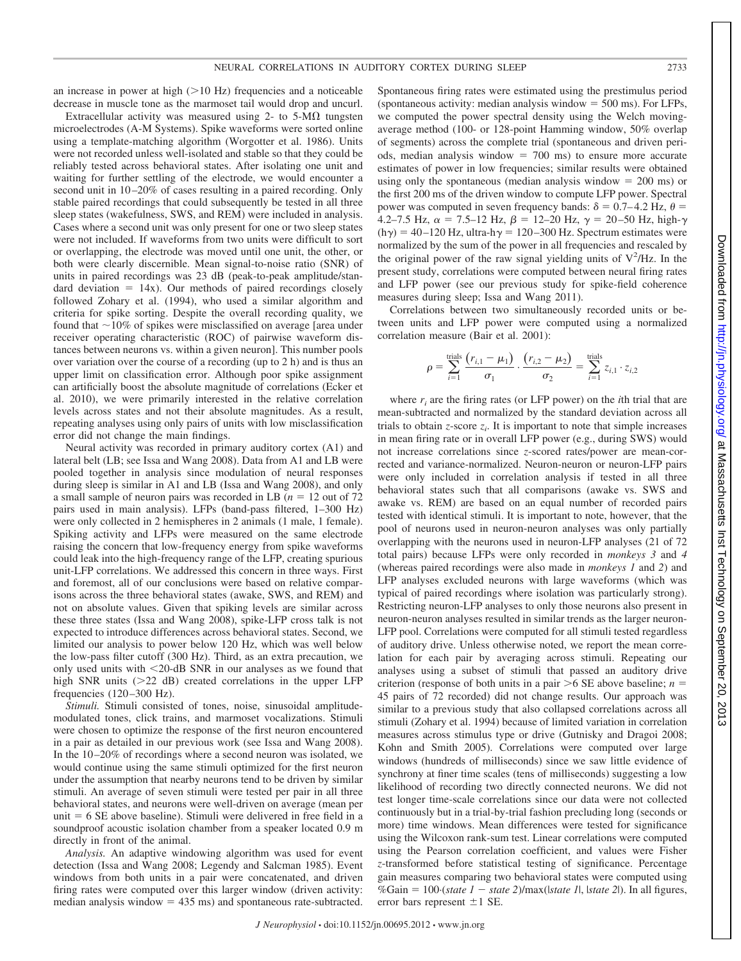an increase in power at high  $(>10$  Hz) frequencies and a noticeable decrease in muscle tone as the marmoset tail would drop and uncurl.

Extracellular activity was measured using 2- to  $5-M\Omega$  tungsten microelectrodes (A-M Systems). Spike waveforms were sorted online using a template-matching algorithm (Worgotter et al. 1986). Units were not recorded unless well-isolated and stable so that they could be reliably tested across behavioral states. After isolating one unit and waiting for further settling of the electrode, we would encounter a second unit in 10-20% of cases resulting in a paired recording. Only stable paired recordings that could subsequently be tested in all three sleep states (wakefulness, SWS, and REM) were included in analysis. Cases where a second unit was only present for one or two sleep states were not included. If waveforms from two units were difficult to sort or overlapping, the electrode was moved until one unit, the other, or both were clearly discernible. Mean signal-to-noise ratio (SNR) of units in paired recordings was 23 dB (peak-to-peak amplitude/standard deviation  $= 14x$ ). Our methods of paired recordings closely followed Zohary et al. (1994), who used a similar algorithm and criteria for spike sorting. Despite the overall recording quality, we found that  $\sim$ 10% of spikes were misclassified on average [area under receiver operating characteristic (ROC) of pairwise waveform distances between neurons vs. within a given neuron]. This number pools over variation over the course of a recording (up to 2 h) and is thus an upper limit on classification error. Although poor spike assignment can artificially boost the absolute magnitude of correlations (Ecker et al. 2010), we were primarily interested in the relative correlation levels across states and not their absolute magnitudes. As a result, repeating analyses using only pairs of units with low misclassification error did not change the main findings.

Neural activity was recorded in primary auditory cortex (A1) and lateral belt (LB; see Issa and Wang 2008). Data from A1 and LB were pooled together in analysis since modulation of neural responses during sleep is similar in A1 and LB (Issa and Wang 2008), and only a small sample of neuron pairs was recorded in LB ( $n = 12$  out of 72 pairs used in main analysis). LFPs (band-pass filtered, 1–300 Hz) were only collected in 2 hemispheres in 2 animals (1 male, 1 female). Spiking activity and LFPs were measured on the same electrode raising the concern that low-frequency energy from spike waveforms could leak into the high-frequency range of the LFP, creating spurious unit-LFP correlations. We addressed this concern in three ways. First and foremost, all of our conclusions were based on relative comparisons across the three behavioral states (awake, SWS, and REM) and not on absolute values. Given that spiking levels are similar across these three states (Issa and Wang 2008), spike-LFP cross talk is not expected to introduce differences across behavioral states. Second, we limited our analysis to power below 120 Hz, which was well below the low-pass filter cutoff (300 Hz). Third, as an extra precaution, we only used units with 20-dB SNR in our analyses as we found that high SNR units (>22 dB) created correlations in the upper LFP frequencies  $(120-300 \text{ Hz})$ .

*Stimuli.* Stimuli consisted of tones, noise, sinusoidal amplitudemodulated tones, click trains, and marmoset vocalizations. Stimuli were chosen to optimize the response of the first neuron encountered in a pair as detailed in our previous work (see Issa and Wang 2008). In the 10 –20% of recordings where a second neuron was isolated, we would continue using the same stimuli optimized for the first neuron under the assumption that nearby neurons tend to be driven by similar stimuli. An average of seven stimuli were tested per pair in all three behavioral states, and neurons were well-driven on average (mean per unit  $= 6 \text{ SE}$  above baseline). Stimuli were delivered in free field in a soundproof acoustic isolation chamber from a speaker located 0.9 m directly in front of the animal.

*Analysis.* An adaptive windowing algorithm was used for event detection (Issa and Wang 2008; Legendy and Salcman 1985). Event windows from both units in a pair were concatenated, and driven firing rates were computed over this larger window (driven activity: median analysis window  $=$  435 ms) and spontaneous rate-subtracted.

Spontaneous firing rates were estimated using the prestimulus period (spontaneous activity: median analysis window  $=$  500 ms). For LFPs, we computed the power spectral density using the Welch movingaverage method (100- or 128-point Hamming window, 50% overlap of segments) across the complete trial (spontaneous and driven periods, median analysis window  $= 700$  ms) to ensure more accurate estimates of power in low frequencies; similar results were obtained using only the spontaneous (median analysis window  $= 200 \text{ ms}$ ) or the first 200 ms of the driven window to compute LFP power. Spectral power was computed in seven frequency bands:  $\delta = 0.7{\text -}4.2 \text{ Hz}, \theta =$ 4.2–7.5 Hz,  $\alpha = 7.5$ –12 Hz,  $\beta = 12$ –20 Hz,  $\gamma = 20$ –50 Hz, high- $\gamma$  $(h\gamma) = 40 - 120$  Hz, ultra-h $\gamma = 120 - 300$  Hz. Spectrum estimates were normalized by the sum of the power in all frequencies and rescaled by the original power of the raw signal yielding units of  $V^2$ /Hz. In the present study, correlations were computed between neural firing rates and LFP power (see our previous study for spike-field coherence measures during sleep; Issa and Wang 2011).

Correlations between two simultaneously recorded units or between units and LFP power were computed using a normalized correlation measure (Bair et al. 2001):

$$
\rho = \sum_{i=1}^{\text{trials}} \frac{(r_{i,1} - \mu_1)}{\sigma_1} \cdot \frac{(r_{i,2} - \mu_2)}{\sigma_2} = \sum_{i=1}^{\text{trials}} z_{i,1} \cdot z_{i,2}
$$

where  $r_i$  are the firing rates (or LFP power) on the *i*th trial that are mean-subtracted and normalized by the standard deviation across all trials to obtain  $z$ -score  $z_i$ . It is important to note that simple increases in mean firing rate or in overall LFP power (e.g., during SWS) would not increase correlations since *z*-scored rates/power are mean-corrected and variance-normalized. Neuron-neuron or neuron-LFP pairs were only included in correlation analysis if tested in all three behavioral states such that all comparisons (awake vs. SWS and awake vs. REM) are based on an equal number of recorded pairs tested with identical stimuli. It is important to note, however, that the pool of neurons used in neuron-neuron analyses was only partially overlapping with the neurons used in neuron-LFP analyses (21 of 72 total pairs) because LFPs were only recorded in *monkeys 3* and *4* (whereas paired recordings were also made in *monkeys 1* and *2*) and LFP analyses excluded neurons with large waveforms (which was typical of paired recordings where isolation was particularly strong). Restricting neuron-LFP analyses to only those neurons also present in neuron-neuron analyses resulted in similar trends as the larger neuron-LFP pool. Correlations were computed for all stimuli tested regardless of auditory drive. Unless otherwise noted, we report the mean correlation for each pair by averaging across stimuli. Repeating our analyses using a subset of stimuli that passed an auditory drive criterion (response of both units in a pair  $>6$  SE above baseline;  $n =$ 45 pairs of 72 recorded) did not change results. Our approach was similar to a previous study that also collapsed correlations across all stimuli (Zohary et al. 1994) because of limited variation in correlation measures across stimulus type or drive (Gutnisky and Dragoi 2008; Kohn and Smith 2005). Correlations were computed over large windows (hundreds of milliseconds) since we saw little evidence of synchrony at finer time scales (tens of milliseconds) suggesting a low likelihood of recording two directly connected neurons. We did not test longer time-scale correlations since our data were not collected continuously but in a trial-by-trial fashion precluding long (seconds or more) time windows. Mean differences were tested for significance using the Wilcoxon rank-sum test. Linear correlations were computed using the Pearson correlation coefficient, and values were Fisher *z*-transformed before statistical testing of significance. Percentage gain measures comparing two behavioral states were computed using %Gain =  $100 \cdot (state \, I - state \, 2) / max($ *state 1* $|$ *, state 2* $|$ *)*. In all figures, error bars represent  $\pm 1$  SE.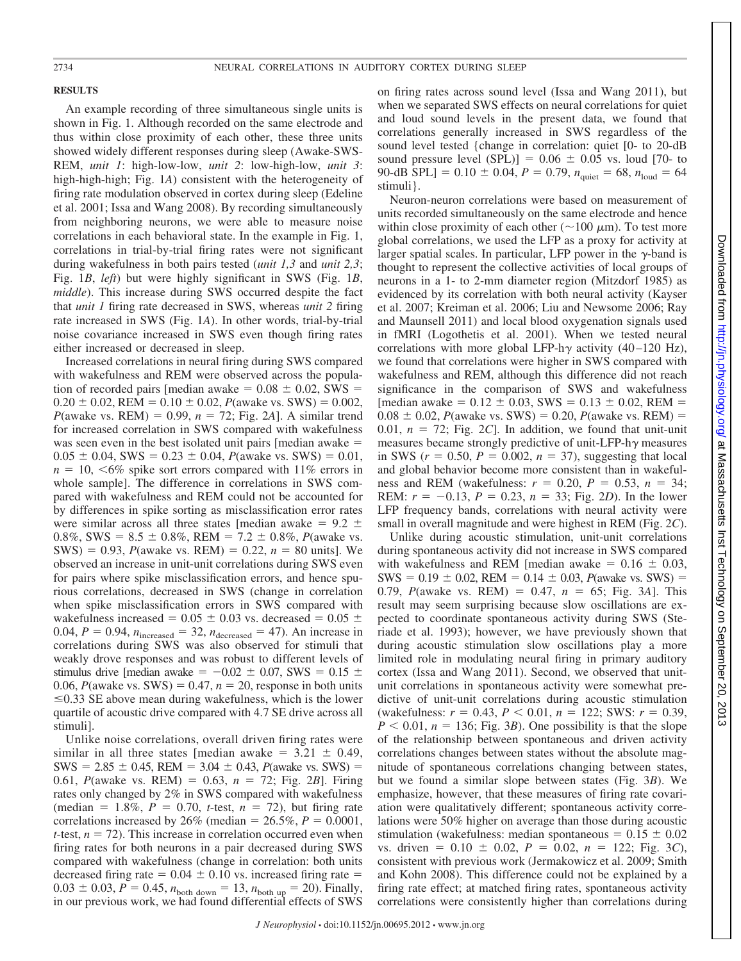# **RESULTS**

An example recording of three simultaneous single units is shown in Fig. 1. Although recorded on the same electrode and thus within close proximity of each other, these three units showed widely different responses during sleep (Awake-SWS-REM, *unit 1*: high-low-low, *unit 2*: low-high-low, *unit 3*: high-high-high; Fig. 1*A*) consistent with the heterogeneity of firing rate modulation observed in cortex during sleep (Edeline et al. 2001; Issa and Wang 2008). By recording simultaneously from neighboring neurons, we were able to measure noise correlations in each behavioral state. In the example in Fig. 1, correlations in trial-by-trial firing rates were not significant during wakefulness in both pairs tested (*unit 1,3* and *unit 2,3*; Fig. 1*B*, *left*) but were highly significant in SWS (Fig. 1*B*, *middle*). This increase during SWS occurred despite the fact that *unit 1* firing rate decreased in SWS, whereas *unit 2* firing rate increased in SWS (Fig. 1*A*). In other words, trial-by-trial noise covariance increased in SWS even though firing rates either increased or decreased in sleep.

Increased correlations in neural firing during SWS compared with wakefulness and REM were observed across the population of recorded pairs [median awake  $= 0.08 \pm 0.02$ , SWS  $=$  $0.20 \pm 0.02$ , REM =  $0.10 \pm 0.02$ , *P*(awake vs. SWS) = 0.002,  $P(\text{awake vs. REM}) = 0.99, n = 72$ ; Fig. 2*A*]. A similar trend for increased correlation in SWS compared with wakefulness was seen even in the best isolated unit pairs [median awake  $0.05 \pm 0.04$ , SWS =  $0.23 \pm 0.04$ , *P*(awake vs. SWS) = 0.01,  $n = 10, \leq 6\%$  spike sort errors compared with 11% errors in whole sample]. The difference in correlations in SWS compared with wakefulness and REM could not be accounted for by differences in spike sorting as misclassification error rates were similar across all three states [median awake  $= 9.2 \pm$ 0.8%, SWS =  $8.5 \pm 0.8$ %, REM =  $7.2 \pm 0.8$ %, *P*(awake vs. SWS) = 0.93, *P*(awake vs. REM) = 0.22,  $n = 80$  units]. We observed an increase in unit-unit correlations during SWS even for pairs where spike misclassification errors, and hence spurious correlations, decreased in SWS (change in correlation when spike misclassification errors in SWS compared with wakefulness increased =  $0.05 \pm 0.03$  vs. decreased =  $0.05 \pm 0.03$ 0.04,  $P = 0.94$ ,  $n_{\text{increased}} = 32$ ,  $n_{\text{decreased}} = 47$ ). An increase in correlations during SWS was also observed for stimuli that weakly drove responses and was robust to different levels of stimulus drive [median awake =  $-0.02 \pm 0.07$ , SWS = 0.15  $\pm$ 0.06,  $P(\text{awake vs. SWS}) = 0.47$ ,  $n = 20$ , response in both units  $\leq$ 0.33 SE above mean during wakefulness, which is the lower quartile of acoustic drive compared with 4.7 SE drive across all stimuli].

Unlike noise correlations, overall driven firing rates were similar in all three states [median awake =  $3.21 \pm 0.49$ ,  ${\rm SWS} = 2.85 \pm 0.45$ , REM = 3.04  $\pm$  0.43, *P*(awake vs. SWS) = 0.61, *P*(awake vs. REM) = 0.63,  $n = 72$ ; Fig. 2*B*]. Firing rates only changed by 2% in SWS compared with wakefulness (median =  $1.8\%$ , *P* = 0.70, *t*-test, *n* = 72), but firing rate correlations increased by 26% (median  $= 26.5\%, P = 0.0001,$ *t*-test,  $n = 72$ ). This increase in correlation occurred even when firing rates for both neurons in a pair decreased during SWS compared with wakefulness (change in correlation: both units decreased firing rate  $= 0.04 \pm 0.10$  vs. increased firing rate  $=$  $0.03 \pm 0.03$ ,  $P = 0.45$ ,  $n_{\text{both down}} = 13$ ,  $n_{\text{both up}} = 20$ ). Finally, in our previous work, we had found differential effects of SWS

on firing rates across sound level (Issa and Wang 2011), but when we separated SWS effects on neural correlations for quiet and loud sound levels in the present data, we found that correlations generally increased in SWS regardless of the sound level tested {change in correlation: quiet [0- to 20-dB sound pressure level (SPL)] =  $0.06 \pm 0.05$  vs. loud [70- to 90-dB SPL] =  $0.10 \pm 0.04$ ,  $P = 0.79$ ,  $n_{\text{quiet}} = 68$ ,  $n_{\text{load}} = 64$ stimuli}.

Neuron-neuron correlations were based on measurement of units recorded simultaneously on the same electrode and hence within close proximity of each other ( $\sim$ 100  $\mu$ m). To test more global correlations, we used the LFP as a proxy for activity at larger spatial scales. In particular, LFP power in the  $\gamma$ -band is thought to represent the collective activities of local groups of neurons in a 1- to 2-mm diameter region (Mitzdorf 1985) as evidenced by its correlation with both neural activity (Kayser et al. 2007; Kreiman et al. 2006; Liu and Newsome 2006; Ray and Maunsell 2011) and local blood oxygenation signals used in fMRI (Logothetis et al. 2001). When we tested neural correlations with more global LFP-h $\gamma$  activity (40–120 Hz), we found that correlations were higher in SWS compared with wakefulness and REM, although this difference did not reach significance in the comparison of SWS and wakefulness [median awake =  $0.12 \pm 0.03$ , SWS =  $0.13 \pm 0.02$ , REM =  $0.08 \pm 0.02$ , *P*(awake vs. SWS) = 0.20, *P*(awake vs. REM) = 0.01,  $n = 72$ ; Fig. 2*C*]. In addition, we found that unit-unit measures became strongly predictive of unit-LFP-h $\gamma$  measures in SWS ( $r = 0.50$ ,  $P = 0.002$ ,  $n = 37$ ), suggesting that local and global behavior become more consistent than in wakefulness and REM (wakefulness:  $r = 0.20$ ,  $P = 0.53$ ,  $n = 34$ ; REM:  $r = -0.13$ ,  $P = 0.23$ ,  $n = 33$ ; Fig. 2*D*). In the lower LFP frequency bands, correlations with neural activity were small in overall magnitude and were highest in REM (Fig. 2*C*).

Unlike during acoustic stimulation, unit-unit correlations during spontaneous activity did not increase in SWS compared with wakefulness and REM [median awake  $= 0.16 \pm 0.03$ ,  ${\rm SWS} = 0.19 \pm 0.02$ , REM = 0.14  $\pm$  0.03, *P*(awake vs. SWS) = 0.79, *P*(awake vs. REM) = 0.47,  $n = 65$ ; Fig. 3A]. This result may seem surprising because slow oscillations are expected to coordinate spontaneous activity during SWS (Steriade et al. 1993); however, we have previously shown that during acoustic stimulation slow oscillations play a more limited role in modulating neural firing in primary auditory cortex (Issa and Wang 2011). Second, we observed that unitunit correlations in spontaneous activity were somewhat predictive of unit-unit correlations during acoustic stimulation  $\text{(wakefulness: } r = 0.43, P < 0.01, n = 122; \text{SWS: } r = 0.39,$  $P < 0.01$ ,  $n = 136$ ; Fig. 3*B*). One possibility is that the slope of the relationship between spontaneous and driven activity correlations changes between states without the absolute magnitude of spontaneous correlations changing between states, but we found a similar slope between states (Fig. 3*B*). We emphasize, however, that these measures of firing rate covariation were qualitatively different; spontaneous activity correlations were 50% higher on average than those during acoustic stimulation (wakefulness: median spontaneous  $= 0.15 \pm 0.02$ vs. driven =  $0.10 \pm 0.02$ ,  $P = 0.02$ ,  $n = 122$ ; Fig. 3*C*), consistent with previous work (Jermakowicz et al. 2009; Smith and Kohn 2008). This difference could not be explained by a firing rate effect; at matched firing rates, spontaneous activity correlations were consistently higher than correlations during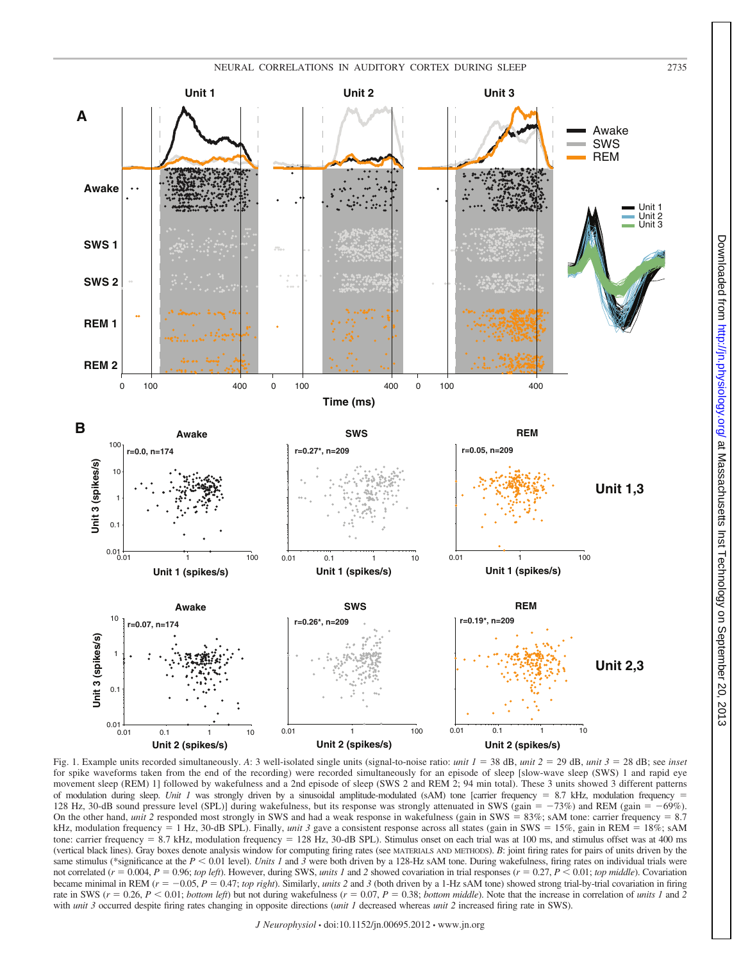

Fig. 1. Example units recorded simultaneously. A: 3 well-isolated single units (signal-to-noise ratio: *unit 1* = 38 dB, *unit 2* = 29 dB, *unit 3* = 28 dB; see *inset* for spike waveforms taken from the end of the recording) were recorded simultaneously for an episode of sleep [slow-wave sleep (SWS) 1 and rapid eye movement sleep (REM) 1] followed by wakefulness and a 2nd episode of sleep (SWS 2 and REM 2; 94 min total). These 3 units showed 3 different patterns of modulation during sleep. *Unit 1* was strongly driven by a sinusoidal amplitude-modulated (sAM) tone [carrier frequency = 8.7 kHz, modulation frequency = 128 Hz, 30-dB sound pressure level (SPL)] during wakefulness, but its response was strongly attenuated in SWS (gain =  $-73\%$ ) and REM (gain =  $-69\%$ ). On the other hand, *unit* 2 responded most strongly in SWS and had a weak response in wakefulness (gain in SWS =  $83\%$ ; sAM tone: carrier frequency =  $8.7$ kHz, modulation frequency = 1 Hz, 30-dB SPL). Finally, *unit 3* gave a consistent response across all states (gain in SWS = 15%, gain in REM = 18%; sAM tone: carrier frequency  $= 8.7$  kHz, modulation frequency  $= 128$  Hz, 30-dB SPL). Stimulus onset on each trial was at 100 ms, and stimulus offset was at 400 ms (vertical black lines). Gray boxes denote analysis window for computing firing rates (see MATERIALS AND METHODS). *B*: joint firing rates for pairs of units driven by the same stimulus (\*significance at the  $P \le 0.01$  level). *Units 1* and *3* were both driven by a 128-Hz sAM tone. During wakefulness, firing rates on individual trials were not correlated ( $r = 0.004$ ,  $P = 0.96$ ; *top left*). However, during SWS, *units 1* and 2 showed covariation in trial responses ( $r = 0.27$ ,  $P < 0.01$ ; *top middle*). Covariation became minimal in REM  $(r = -0.05, P = 0.47; top right)$ . Similarly, *units 2* and 3 (both driven by a 1-Hz sAM tone) showed strong trial-by-trial covariation in firing rate in SWS ( $r = 0.26$ ,  $P < 0.01$ ; *bottom left*) but not during wakefulness ( $r = 0.07$ ,  $P = 0.38$ ; *bottom middle*). Note that the increase in correlation of *units 1* and 2 with *unit 3* occurred despite firing rates changing in opposite directions (*unit 1* decreased whereas *unit 2* increased firing rate in SWS).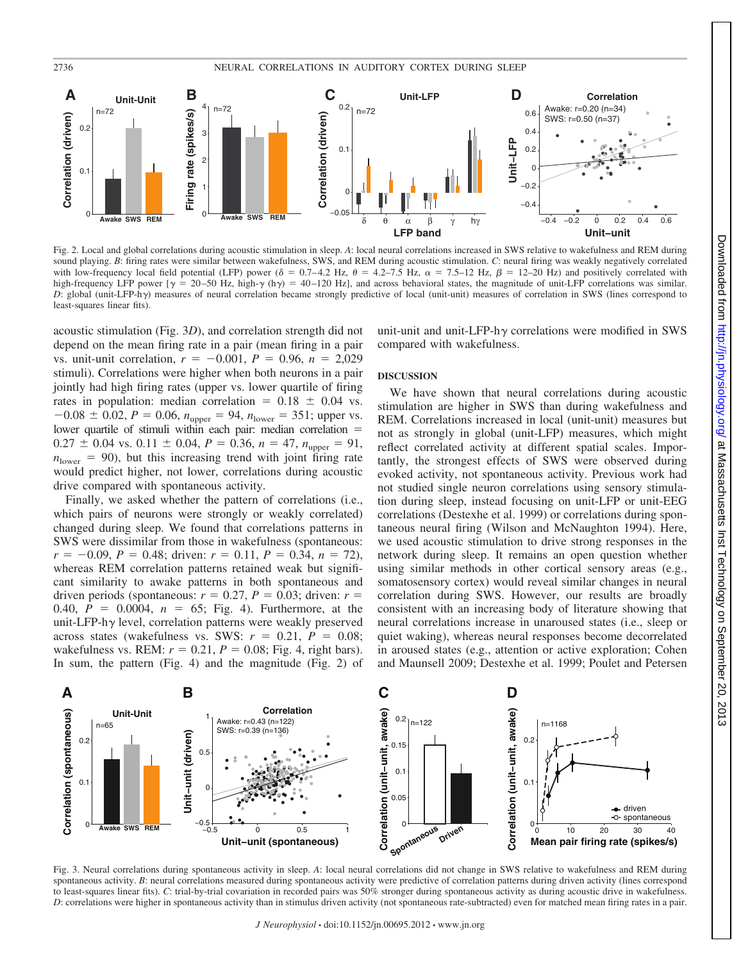

Fig. 2. Local and global correlations during acoustic stimulation in sleep. *A*: local neural correlations increased in SWS relative to wakefulness and REM during sound playing. *B*: firing rates were similar between wakefulness, SWS, and REM during acoustic stimulation. *C*: neural firing was weakly negatively correlated with low-frequency local field potential (LFP) power  $(\delta = 0.7 - 4.2 \text{ Hz}, \theta = 4.2 - 7.5 \text{ Hz}, \alpha = 7.5 - 12 \text{ Hz}, \beta = 12 - 20 \text{ Hz})$  and positively correlated with high-frequency LFP power  $[\gamma = 20-50 \text{ Hz}, \text{ high-}\gamma (\text{h}\gamma) = 40-120 \text{ Hz}]$ , and across behavioral states, the magnitude of unit-LFP correlations was similar. *D*: global (unit-LFP-h $\gamma$ ) measures of neural correlation became strongly predictive of local (unit-unit) measures of correlation in SWS (lines correspond to least-squares linear fits).

acoustic stimulation (Fig. 3*D*), and correlation strength did not depend on the mean firing rate in a pair (mean firing in a pair vs. unit-unit correlation,  $r = -0.001$ ,  $P = 0.96$ ,  $n = 2,029$ stimuli). Correlations were higher when both neurons in a pair jointly had high firing rates (upper vs. lower quartile of firing rates in population: median correlation  $= 0.18 \pm 0.04$  vs.  $-0.08 \pm 0.02$ ,  $P = 0.06$ ,  $n_{\text{upper}} = 94$ ,  $n_{\text{lower}} = 351$ ; upper vs. lower quartile of stimuli within each pair: median correlation  $0.27 \pm 0.04$  vs.  $0.11 \pm 0.04$ ,  $P = 0.36$ ,  $n = 47$ ,  $n_{\text{upper}} = 91$ ,  $n_{\text{lower}} = 90$ , but this increasing trend with joint firing rate would predict higher, not lower, correlations during acoustic drive compared with spontaneous activity.

Finally, we asked whether the pattern of correlations (i.e., which pairs of neurons were strongly or weakly correlated) changed during sleep. We found that correlations patterns in SWS were dissimilar from those in wakefulness (spontaneous:  $r = -0.09$ ,  $P = 0.48$ ; driven:  $r = 0.11$ ,  $P = 0.34$ ,  $n = 72$ ), whereas REM correlation patterns retained weak but significant similarity to awake patterns in both spontaneous and driven periods (spontaneous:  $r = 0.27$ ,  $P = 0.03$ ; driven:  $r =$ 0.40,  $P = 0.0004$ ,  $n = 65$ ; Fig. 4). Furthermore, at the unit-LFP-h $\gamma$  level, correlation patterns were weakly preserved across states (wakefulness vs. SWS:  $r = 0.21$ ,  $P = 0.08$ ; wakefulness vs. REM:  $r = 0.21$ ,  $P = 0.08$ ; Fig. 4, right bars). In sum, the pattern (Fig. 4) and the magnitude (Fig. 2) of

unit-unit and unit-LFP-h $\gamma$  correlations were modified in SWS compared with wakefulness.

# **DISCUSSION**

We have shown that neural correlations during acoustic stimulation are higher in SWS than during wakefulness and REM. Correlations increased in local (unit-unit) measures but not as strongly in global (unit-LFP) measures, which might reflect correlated activity at different spatial scales. Importantly, the strongest effects of SWS were observed during evoked activity, not spontaneous activity. Previous work had not studied single neuron correlations using sensory stimulation during sleep, instead focusing on unit-LFP or unit-EEG correlations (Destexhe et al. 1999) or correlations during spontaneous neural firing (Wilson and McNaughton 1994). Here, we used acoustic stimulation to drive strong responses in the network during sleep. It remains an open question whether using similar methods in other cortical sensory areas (e.g., somatosensory cortex) would reveal similar changes in neural correlation during SWS. However, our results are broadly consistent with an increasing body of literature showing that neural correlations increase in unaroused states (i.e., sleep or quiet waking), whereas neural responses become decorrelated in aroused states (e.g., attention or active exploration; Cohen and Maunsell 2009; Destexhe et al. 1999; Poulet and Petersen



Fig. 3. Neural correlations during spontaneous activity in sleep. *A*: local neural correlations did not change in SWS relative to wakefulness and REM during spontaneous activity. *B*: neural correlations measured during spontaneous activity were predictive of correlation patterns during driven activity (lines correspond to least-squares linear fits). *C*: trial-by-trial covariation in recorded pairs was 50% stronger during spontaneous activity as during acoustic drive in wakefulness. *D*: correlations were higher in spontaneous activity than in stimulus driven activity (not spontaneous rate-subtracted) even for matched mean firing rates in a pair.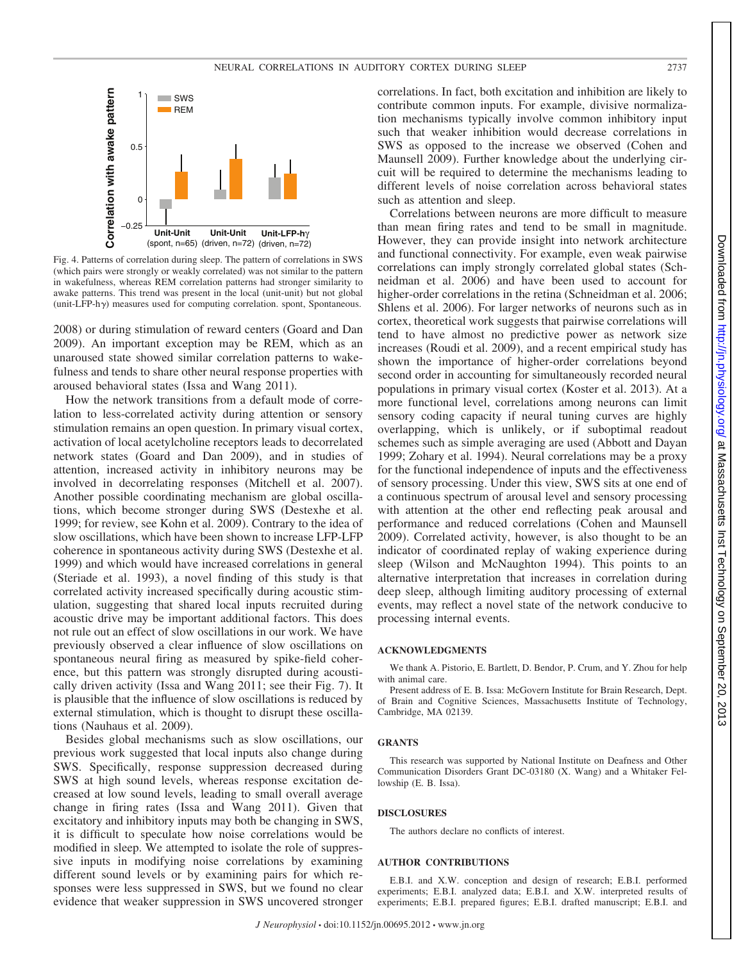

Fig. 4. Patterns of correlation during sleep. The pattern of correlations in SWS (which pairs were strongly or weakly correlated) was not similar to the pattern in wakefulness, whereas REM correlation patterns had stronger similarity to awake patterns. This trend was present in the local (unit-unit) but not global  $(\text{unit-LFP-h}\gamma)$  measures used for computing correlation. spont, Spontaneous.

2008) or during stimulation of reward centers (Goard and Dan 2009). An important exception may be REM, which as an unaroused state showed similar correlation patterns to wakefulness and tends to share other neural response properties with aroused behavioral states (Issa and Wang 2011).

How the network transitions from a default mode of correlation to less-correlated activity during attention or sensory stimulation remains an open question. In primary visual cortex, activation of local acetylcholine receptors leads to decorrelated network states (Goard and Dan 2009), and in studies of attention, increased activity in inhibitory neurons may be involved in decorrelating responses (Mitchell et al. 2007). Another possible coordinating mechanism are global oscillations, which become stronger during SWS (Destexhe et al. 1999; for review, see Kohn et al. 2009). Contrary to the idea of slow oscillations, which have been shown to increase LFP-LFP coherence in spontaneous activity during SWS (Destexhe et al. 1999) and which would have increased correlations in general (Steriade et al. 1993), a novel finding of this study is that correlated activity increased specifically during acoustic stimulation, suggesting that shared local inputs recruited during acoustic drive may be important additional factors. This does not rule out an effect of slow oscillations in our work. We have previously observed a clear influence of slow oscillations on spontaneous neural firing as measured by spike-field coherence, but this pattern was strongly disrupted during acoustically driven activity (Issa and Wang 2011; see their Fig. 7). It is plausible that the influence of slow oscillations is reduced by external stimulation, which is thought to disrupt these oscillations (Nauhaus et al. 2009).

Besides global mechanisms such as slow oscillations, our previous work suggested that local inputs also change during SWS. Specifically, response suppression decreased during SWS at high sound levels, whereas response excitation decreased at low sound levels, leading to small overall average change in firing rates (Issa and Wang 2011). Given that excitatory and inhibitory inputs may both be changing in SWS, it is difficult to speculate how noise correlations would be modified in sleep. We attempted to isolate the role of suppressive inputs in modifying noise correlations by examining different sound levels or by examining pairs for which responses were less suppressed in SWS, but we found no clear evidence that weaker suppression in SWS uncovered stronger correlations. In fact, both excitation and inhibition are likely to contribute common inputs. For example, divisive normalization mechanisms typically involve common inhibitory input such that weaker inhibition would decrease correlations in SWS as opposed to the increase we observed (Cohen and Maunsell 2009). Further knowledge about the underlying circuit will be required to determine the mechanisms leading to different levels of noise correlation across behavioral states such as attention and sleep.

Correlations between neurons are more difficult to measure than mean firing rates and tend to be small in magnitude. However, they can provide insight into network architecture and functional connectivity. For example, even weak pairwise correlations can imply strongly correlated global states (Schneidman et al. 2006) and have been used to account for higher-order correlations in the retina (Schneidman et al. 2006; Shlens et al. 2006). For larger networks of neurons such as in cortex, theoretical work suggests that pairwise correlations will tend to have almost no predictive power as network size increases (Roudi et al. 2009), and a recent empirical study has shown the importance of higher-order correlations beyond second order in accounting for simultaneously recorded neural populations in primary visual cortex (Koster et al. 2013). At a more functional level, correlations among neurons can limit sensory coding capacity if neural tuning curves are highly overlapping, which is unlikely, or if suboptimal readout schemes such as simple averaging are used (Abbott and Dayan 1999; Zohary et al. 1994). Neural correlations may be a proxy for the functional independence of inputs and the effectiveness of sensory processing. Under this view, SWS sits at one end of a continuous spectrum of arousal level and sensory processing with attention at the other end reflecting peak arousal and performance and reduced correlations (Cohen and Maunsell 2009). Correlated activity, however, is also thought to be an indicator of coordinated replay of waking experience during sleep (Wilson and McNaughton 1994). This points to an alternative interpretation that increases in correlation during deep sleep, although limiting auditory processing of external events, may reflect a novel state of the network conducive to processing internal events.

### **ACKNOWLEDGMENTS**

We thank A. Pistorio, E. Bartlett, D. Bendor, P. Crum, and Y. Zhou for help with animal care.

Present address of E. B. Issa: McGovern Institute for Brain Research, Dept. of Brain and Cognitive Sciences, Massachusetts Institute of Technology, Cambridge, MA 02139.

#### **GRANTS**

This research was supported by National Institute on Deafness and Other Communication Disorders Grant DC-03180 (X. Wang) and a Whitaker Fellowship (E. B. Issa).

# **DISCLOSURES**

The authors declare no conflicts of interest.

# **AUTHOR CONTRIBUTIONS**

E.B.I. and X.W. conception and design of research; E.B.I. performed experiments; E.B.I. analyzed data; E.B.I. and X.W. interpreted results of experiments; E.B.I. prepared figures; E.B.I. drafted manuscript; E.B.I. and